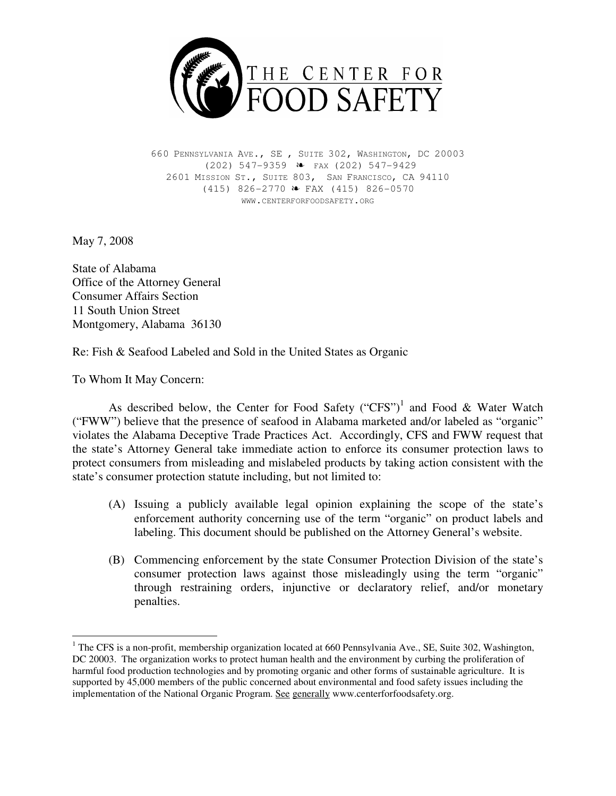

660 PENNSYLVANIA AVE., SE , SUITE 302, WASHINGTON, DC 20003 (202) 547-9359 É FAX (202) 547-9429 2601 MISSION ST., SUITE 803, SAN FRANCISCO, CA 94110  $(415)$  826-2770  $\bullet$  FAX (415) 826-0570 WWW.CENTERFORFOODSAFETY.ORG

May 7, 2008

State of Alabama Office of the Attorney General Consumer Affairs Section 11 South Union Street Montgomery, Alabama 36130

Re: Fish & Seafood Labeled and Sold in the United States as Organic

To Whom It May Concern:

As described below, the Center for Food Safety ("CFS")<sup>1</sup> and Food & Water Watch ("FWW") believe that the presence of seafood in Alabama marketed and/or labeled as "organic" violates the Alabama Deceptive Trade Practices Act. Accordingly, CFS and FWW request that the state's Attorney General take immediate action to enforce its consumer protection laws to protect consumers from misleading and mislabeled products by taking action consistent with the state's consumer protection statute including, but not limited to:

- (A) Issuing a publicly available legal opinion explaining the scope of the state's enforcement authority concerning use of the term "organic" on product labels and labeling. This document should be published on the Attorney General's website.
- (B) Commencing enforcement by the state Consumer Protection Division of the state's consumer protection laws against those misleadingly using the term "organic" through restraining orders, injunctive or declaratory relief, and/or monetary penalties.

 $\overline{a}$ <sup>1</sup> The CFS is a non-profit, membership organization located at 660 Pennsylvania Ave., SE, Suite 302, Washington, DC 20003. The organization works to protect human health and the environment by curbing the proliferation of harmful food production technologies and by promoting organic and other forms of sustainable agriculture. It is supported by 45,000 members of the public concerned about environmental and food safety issues including the implementation of the National Organic Program. See generally www.centerforfoodsafety.org.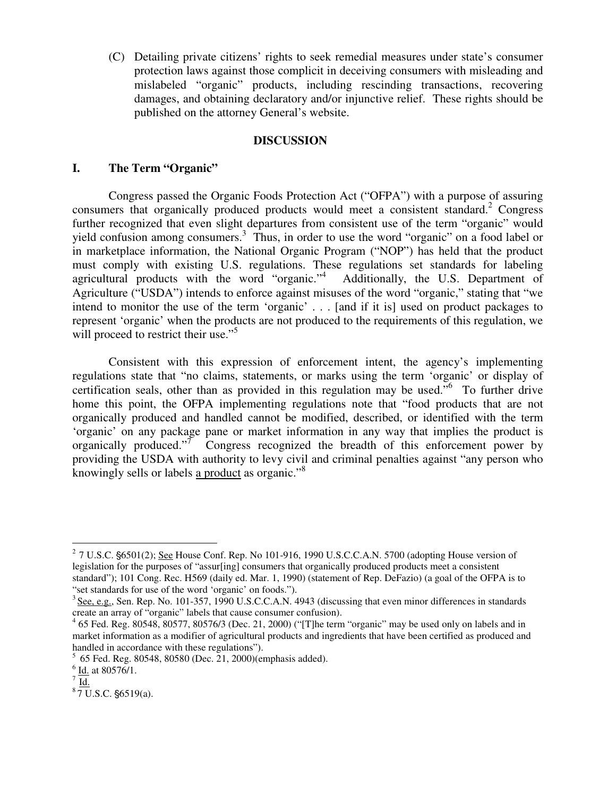(C) Detailing private citizens' rights to seek remedial measures under state's consumer protection laws against those complicit in deceiving consumers with misleading and mislabeled "organic" products, including rescinding transactions, recovering damages, and obtaining declaratory and/or injunctive relief. These rights should be published on the attorney General's website.

### **DISCUSSION**

#### **I. The Term "Organic"**

Congress passed the Organic Foods Protection Act ("OFPA") with a purpose of assuring consumers that organically produced products would meet a consistent standard.<sup>2</sup> Congress further recognized that even slight departures from consistent use of the term "organic" would yield confusion among consumers.<sup>3</sup> Thus, in order to use the word "organic" on a food label or in marketplace information, the National Organic Program ("NOP") has held that the product must comply with existing U.S. regulations. These regulations set standards for labeling agricultural products with the word "organic."<sup>4</sup> Additionally, the U.S. Department of Agriculture ("USDA") intends to enforce against misuses of the word "organic," stating that "we intend to monitor the use of the term 'organic' . . . [and if it is] used on product packages to represent 'organic' when the products are not produced to the requirements of this regulation, we will proceed to restrict their use."<sup>5</sup>

 Consistent with this expression of enforcement intent, the agency's implementing regulations state that "no claims, statements, or marks using the term 'organic' or display of certification seals, other than as provided in this regulation may be used. $\frac{1}{100}$  To further drive home this point, the OFPA implementing regulations note that "food products that are not organically produced and handled cannot be modified, described, or identified with the term 'organic' on any package pane or market information in any way that implies the product is organically produced."<sup>7</sup> Congress recognized the breadth of this enforcement power by providing the USDA with authority to levy civil and criminal penalties against "any person who knowingly sells or labels a product as organic."<sup>8</sup>

 $27$  U.S.C.  $6501(2)$ ; See House Conf. Rep. No 101-916, 1990 U.S.C.C.A.N. 5700 (adopting House version of legislation for the purposes of "assur[ing] consumers that organically produced products meet a consistent standard"); 101 Cong. Rec. H569 (daily ed. Mar. 1, 1990) (statement of Rep. DeFazio) (a goal of the OFPA is to "set standards for use of the word 'organic' on foods.").

<sup>&</sup>lt;sup>3</sup> See, e.g., Sen. Rep. No. 101-357, 1990 U.S.C.C.A.N. 4943 (discussing that even minor differences in standards create an array of "organic" labels that cause consumer confusion).

<sup>&</sup>lt;sup>4</sup> 65 Fed. Reg. 80548, 80577, 80576/3 (Dec. 21, 2000) ("[T]he term "organic" may be used only on labels and in market information as a modifier of agricultural products and ingredients that have been certified as produced and handled in accordance with these regulations").

<sup>5</sup>65 Fed. Reg. 80548, 80580 (Dec. 21, 2000)(emphasis added).

 $6$   $\underline{\text{Id.}}$  at 80576/1.

 $^7$  Id.

 $8\overline{7}$  U.S.C. §6519(a).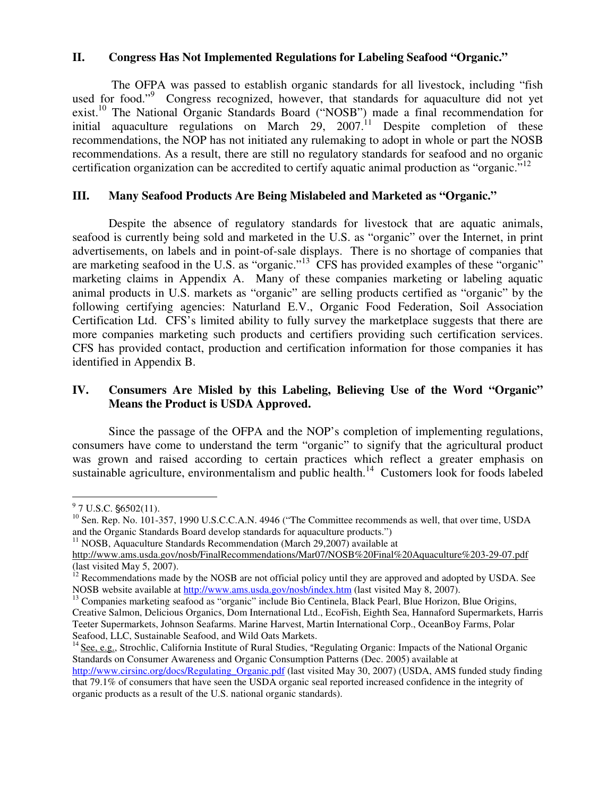### **II. Congress Has Not Implemented Regulations for Labeling Seafood "Organic."**

 The OFPA was passed to establish organic standards for all livestock, including "fish used for food."<sup>9</sup> Congress recognized, however, that standards for aquaculture did not yet exist.<sup>10</sup> The National Organic Standards Board ("NOSB") made a final recommendation for initial aquaculture regulations on March 29,  $2007$ .<sup>11</sup> Despite completion of these recommendations, the NOP has not initiated any rulemaking to adopt in whole or part the NOSB recommendations. As a result, there are still no regulatory standards for seafood and no organic certification organization can be accredited to certify aquatic animal production as "organic."<sup>12</sup>

# **III. Many Seafood Products Are Being Mislabeled and Marketed as "Organic."**

Despite the absence of regulatory standards for livestock that are aquatic animals, seafood is currently being sold and marketed in the U.S. as "organic" over the Internet, in print advertisements, on labels and in point-of-sale displays. There is no shortage of companies that are marketing seafood in the U.S. as "organic."<sup>13</sup> CFS has provided examples of these "organic" marketing claims in Appendix A. Many of these companies marketing or labeling aquatic animal products in U.S. markets as "organic" are selling products certified as "organic" by the following certifying agencies: Naturland E.V., Organic Food Federation, Soil Association Certification Ltd. CFS's limited ability to fully survey the marketplace suggests that there are more companies marketing such products and certifiers providing such certification services. CFS has provided contact, production and certification information for those companies it has identified in Appendix B.

# **IV. Consumers Are Misled by this Labeling, Believing Use of the Word "Organic" Means the Product is USDA Approved.**

Since the passage of the OFPA and the NOP's completion of implementing regulations, consumers have come to understand the term "organic" to signify that the agricultural product was grown and raised according to certain practices which reflect a greater emphasis on sustainable agriculture, environmentalism and public health.<sup>14</sup> Customers look for foods labeled

 $11$  NOSB, Aquaculture Standards Recommendation (March 29,2007) available at

 $9^9$  7 U.S.C. §6502(11).

<sup>&</sup>lt;sup>10</sup> Sen. Rep. No. 101-357, 1990 U.S.C.C.A.N. 4946 ("The Committee recommends as well, that over time, USDA and the Organic Standards Board develop standards for aquaculture products.")

http://www.ams.usda.gov/nosb/FinalRecommendations/Mar07/NOSB%20Final%20Aquaculture%203-29-07.pdf (last visited May 5, 2007).

 $12$  Recommendations made by the NOSB are not official policy until they are approved and adopted by USDA. See NOSB website available at http://www.ams.usda.gov/nosb/index.htm (last visited May 8, 2007).

<sup>&</sup>lt;sup>13</sup> Companies marketing seafood as "organic" include Bio Centinela, Black Pearl, Blue Horizon, Blue Origins, Creative Salmon, Delicious Organics, Dom International Ltd., EcoFish, Eighth Sea, Hannaford Supermarkets, Harris Teeter Supermarkets, Johnson Seafarms. Marine Harvest, Martin International Corp., OceanBoy Farms, Polar Seafood, LLC, Sustainable Seafood, and Wild Oats Markets.

<sup>&</sup>lt;sup>14</sup> See, e.g., Strochlic, California Institute of Rural Studies, "Regulating Organic: Impacts of the National Organic Standards on Consumer Awareness and Organic Consumption Patterns (Dec. 2005) available at

http://www.cirsinc.org/docs/Regulating\_Organic.pdf (last visited May 30, 2007) (USDA, AMS funded study finding that 79.1% of consumers that have seen the USDA organic seal reported increased confidence in the integrity of organic products as a result of the U.S. national organic standards).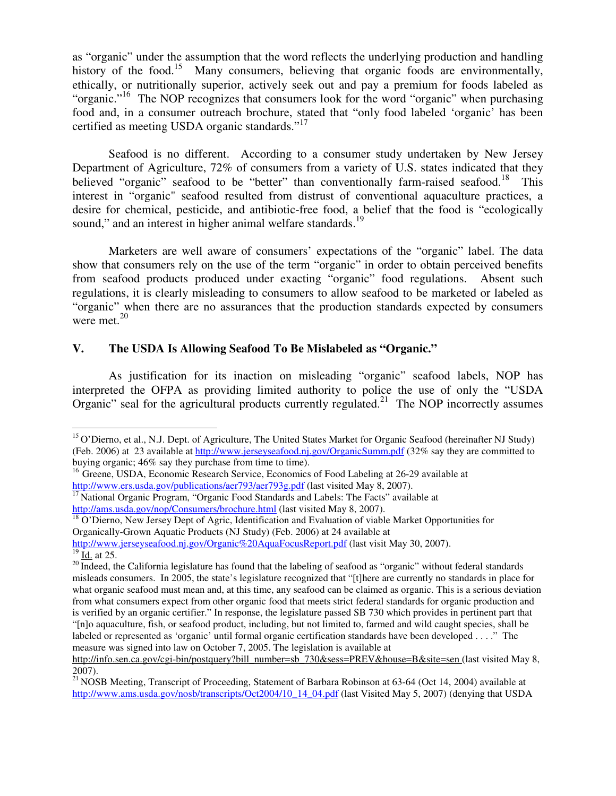as "organic" under the assumption that the word reflects the underlying production and handling history of the food.<sup>15</sup> Many consumers, believing that organic foods are environmentally, ethically, or nutritionally superior, actively seek out and pay a premium for foods labeled as "organic."<sup>16</sup> The NOP recognizes that consumers look for the word "organic" when purchasing food and, in a consumer outreach brochure, stated that "only food labeled 'organic' has been certified as meeting USDA organic standards."<sup>17</sup>

Seafood is no different. According to a consumer study undertaken by New Jersey Department of Agriculture, 72% of consumers from a variety of U.S. states indicated that they believed "organic" seafood to be "better" than conventionally farm-raised seafood.<sup>18</sup> This interest in "organic" seafood resulted from distrust of conventional aquaculture practices, a desire for chemical, pesticide, and antibiotic-free food, a belief that the food is "ecologically sound," and an interest in higher animal welfare standards.<sup>19</sup>

Marketers are well aware of consumers' expectations of the "organic" label. The data show that consumers rely on the use of the term "organic" in order to obtain perceived benefits from seafood products produced under exacting "organic" food regulations. Absent such regulations, it is clearly misleading to consumers to allow seafood to be marketed or labeled as "organic" when there are no assurances that the production standards expected by consumers were met. $^{20}$ 

# **V. The USDA Is Allowing Seafood To Be Mislabeled as "Organic."**

As justification for its inaction on misleading "organic" seafood labels, NOP has interpreted the OFPA as providing limited authority to police the use of only the "USDA Organic" seal for the agricultural products currently regulated.<sup>21</sup> The NOP incorrectly assumes

<sup>18</sup> O'Dierno, New Jersey Dept of Agric, Identification and Evaluation of viable Market Opportunities for Organically-Grown Aquatic Products (NJ Study) (Feb. 2006) at 24 available at

http://www.jerseyseafood.nj.gov/Organic%20AquaFocusReport.pdf (last visit May 30, 2007).

<sup>&</sup>lt;sup>15</sup> O'Dierno, et al., N.J. Dept. of Agriculture, The United States Market for Organic Seafood (hereinafter NJ Study) (Feb. 2006) at 23 available at http://www.jerseyseafood.nj.gov/OrganicSumm.pdf (32% say they are committed to buying organic; 46% say they purchase from time to time).

<sup>&</sup>lt;sup>16</sup> Greene, USDA, Economic Research Service, Economics of Food Labeling at 26-29 available at http://www.ers.usda.gov/publications/aer793/aer793g.pdf (last visited May 8, 2007).

<sup>&</sup>lt;sup>17</sup> National Organic Program, "Organic Food Standards and Labels: The Facts" available at http://ams.usda.gov/nop/Consumers/brochure.html (last visited May 8, 2007).

 $\frac{19}{19}$  Id. at 25.

 $20$  Indeed, the California legislature has found that the labeling of seafood as "organic" without federal standards misleads consumers. In 2005, the state's legislature recognized that "[t]here are currently no standards in place for what organic seafood must mean and, at this time, any seafood can be claimed as organic. This is a serious deviation from what consumers expect from other organic food that meets strict federal standards for organic production and is verified by an organic certifier." In response, the legislature passed SB 730 which provides in pertinent part that "[n]o aquaculture, fish, or seafood product, including, but not limited to, farmed and wild caught species, shall be labeled or represented as 'organic' until formal organic certification standards have been developed . . . ." The measure was signed into law on October 7, 2005. The legislation is available at

http://info.sen.ca.gov/cgi-bin/postquery?bill\_number=sb\_730&sess=PREV&house=B&site=sen (last visited May 8, 2007).

<sup>&</sup>lt;sup>21</sup> NOSB Meeting, Transcript of Proceeding, Statement of Barbara Robinson at 63-64 (Oct 14, 2004) available at http://www.ams.usda.gov/nosb/transcripts/Oct2004/10\_14\_04.pdf (last Visited May 5, 2007) (denying that USDA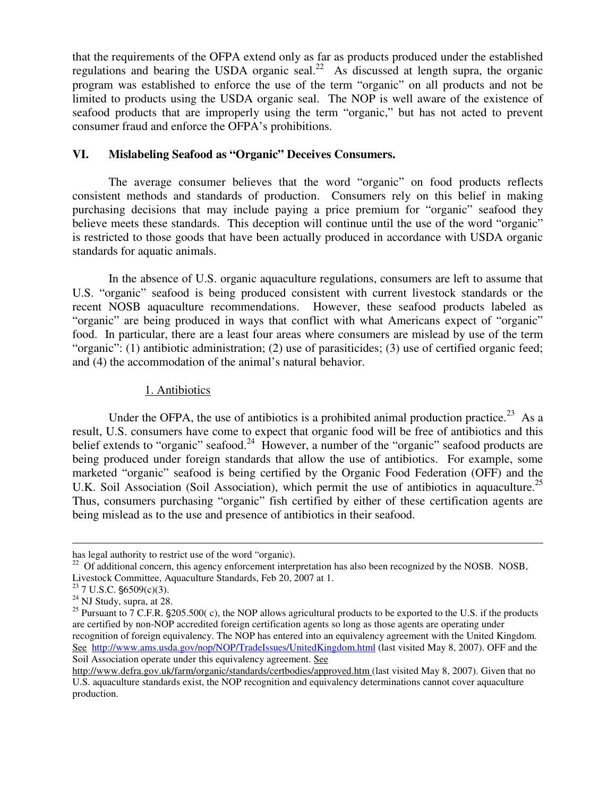that the requirements of the OFPA extend only as far as products produced under the established regulations and bearing the USDA organic seal.<sup>22</sup> As discussed at length supra, the organic program was established to enforce the use of the term "organic" on all products and not be limited to products using the USDA organic seal. The NOP is well aware of the existence of seafood products that are improperly using the term "organic," but has not acted to prevent consumer fraud and enforce the OFPA's prohibitions.

# **VI. Mislabeling Seafood as "Organic" Deceives Consumers.**

The average consumer believes that the word "organic" on food products reflects consistent methods and standards of production. Consumers rely on this belief in making purchasing decisions that may include paying a price premium for "organic" seafood they believe meets these standards. This deception will continue until the use of the word "organic" is restricted to those goods that have been actually produced in accordance with USDA organic standards for aquatic animals.

In the absence of U.S. organic aquaculture regulations, consumers are left to assume that U.S. "organic" seafood is being produced consistent with current livestock standards or the recent NOSB aquaculture recommendations. However, these seafood products labeled as "organic" are being produced in ways that conflict with what Americans expect of "organic" food. In particular, there are a least four areas where consumers are mislead by use of the term "organic": (1) antibiotic administration; (2) use of parasiticides; (3) use of certified organic feed; and (4) the accommodation of the animal's natural behavior.

# 1. Antibiotics

Under the OFPA, the use of antibiotics is a prohibited animal production practice.<sup>23</sup> As a result, U.S. consumers have come to expect that organic food will be free of antibiotics and this belief extends to "organic" seafood.<sup>24</sup> However, a number of the "organic" seafood products are being produced under foreign standards that allow the use of antibiotics. For example, some marketed "organic" seafood is being certified by the Organic Food Federation (OFF) and the U.K. Soil Association (Soil Association), which permit the use of antibiotics in aquaculture.<sup>25</sup> Thus, consumers purchasing "organic" fish certified by either of these certification agents are being mislead as to the use and presence of antibiotics in their seafood.

has legal authority to restrict use of the word "organic).

<sup>&</sup>lt;sup>22</sup> Of additional concern, this agency enforcement interpretation has also been recognized by the NOSB. NOSB, Livestock Committee, Aquaculture Standards, Feb 20, 2007 at 1.

 $23$  7 U.S.C.  $$6509(c)(3)$ .

 $24$  NJ Study, supra, at 28.

<sup>&</sup>lt;sup>25</sup> Pursuant to  $\overline{7}$  C.F.R. §205.500( c), the NOP allows agricultural products to be exported to the U.S. if the products are certified by non-NOP accredited foreign certification agents so long as those agents are operating under recognition of foreign equivalency. The NOP has entered into an equivalency agreement with the United Kingdom. See http://www.ams.usda.gov/nop/NOP/TradeIssues/UnitedKingdom.html (last visited May 8, 2007). OFF and the Soil Association operate under this equivalency agreement. See

http://www.defra.gov.uk/farm/organic/standards/certbodies/approved.htm (last visited May 8, 2007). Given that no U.S. aquaculture standards exist, the NOP recognition and equivalency determinations cannot cover aquaculture production.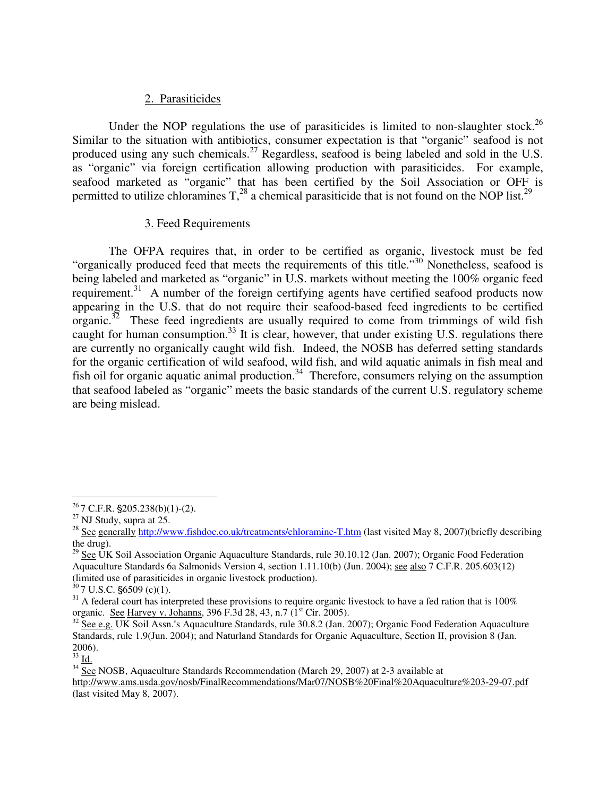#### 2. Parasiticides

Under the NOP regulations the use of parasiticides is limited to non-slaughter stock.<sup>26</sup> Similar to the situation with antibiotics, consumer expectation is that "organic" seafood is not produced using any such chemicals.<sup>27</sup> Regardless, seafood is being labeled and sold in the U.S. as "organic" via foreign certification allowing production with parasiticides. For example, seafood marketed as "organic" that has been certified by the Soil Association or OFF is permitted to utilize chloramines  $T<sub>1</sub><sup>28</sup>$  a chemical parasiticide that is not found on the NOP list.<sup>29</sup>

#### 3. Feed Requirements

The OFPA requires that, in order to be certified as organic, livestock must be fed "organically produced feed that meets the requirements of this title."<sup>30</sup> Nonetheless, seafood is being labeled and marketed as "organic" in U.S. markets without meeting the 100% organic feed requirement.<sup>31</sup> A number of the foreign certifying agents have certified seafood products now appearing in the U.S. that do not require their seafood-based feed ingredients to be certified organic.<sup>32</sup> These feed ingredients are usually required to come from trimmings of wild fish caught for human consumption.<sup>33</sup> It is clear, however, that under existing U.S. regulations there are currently no organically caught wild fish. Indeed, the NOSB has deferred setting standards for the organic certification of wild seafood, wild fish, and wild aquatic animals in fish meal and fish oil for organic aquatic animal production.<sup>34</sup> Therefore, consumers relying on the assumption that seafood labeled as "organic" meets the basic standards of the current U.S. regulatory scheme are being mislead.

 $rac{33}{10}$  Id.

 $26$  7 C.F.R.  $\S 205.238(b)(1)-(2)$ .

 $27$  NJ Study, supra at 25.

<sup>&</sup>lt;sup>28</sup> See generally http://www.fishdoc.co.uk/treatments/chloramine-T.htm (last visited May 8, 2007)(briefly describing the drug).

<sup>&</sup>lt;sup>29</sup> See UK Soil Association Organic Aquaculture Standards, rule 30.10.12 (Jan. 2007); Organic Food Federation Aquaculture Standards 6a Salmonids Version 4, section 1.11.10(b) (Jun. 2004); see also 7 C.F.R. 205.603(12) (limited use of parasiticides in organic livestock production).

 $30$  7 U.S.C.  $$6509$  (c)(1).

 $31$  A federal court has interpreted these provisions to require organic livestock to have a fed ration that is 100% organic. See Harvey v. Johanns, 396 F.3d 28, 43, n.7 (1st Cir. 2005).

 $\frac{32}{32}$  See e.g. UK Soil Assn.'s Aquaculture Standards, rule 30.8.2 (Jan. 2007); Organic Food Federation Aquaculture Standards, rule 1.9(Jun. 2004); and Naturland Standards for Organic Aquaculture, Section II, provision 8 (Jan. 2006).

 $34\overline{See}$  NOSB, Aquaculture Standards Recommendation (March 29, 2007) at 2-3 available at

http://www.ams.usda.gov/nosb/FinalRecommendations/Mar07/NOSB%20Final%20Aquaculture%203-29-07.pdf (last visited May 8, 2007).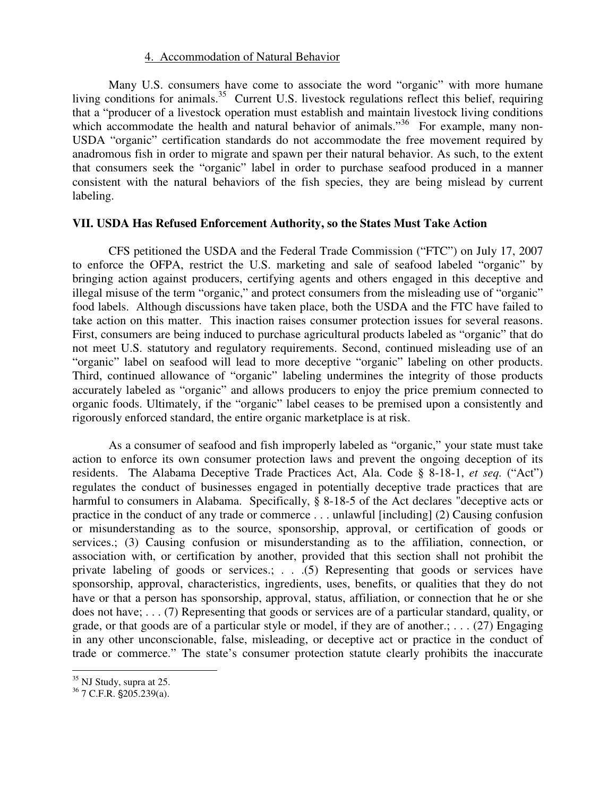#### 4. Accommodation of Natural Behavior

Many U.S. consumers have come to associate the word "organic" with more humane living conditions for animals.<sup>35</sup> Current U.S. livestock regulations reflect this belief, requiring that a "producer of a livestock operation must establish and maintain livestock living conditions which accommodate the health and natural behavior of animals."<sup>36</sup> For example, many non-USDA "organic" certification standards do not accommodate the free movement required by anadromous fish in order to migrate and spawn per their natural behavior. As such, to the extent that consumers seek the "organic" label in order to purchase seafood produced in a manner consistent with the natural behaviors of the fish species, they are being mislead by current labeling.

### **VII. USDA Has Refused Enforcement Authority, so the States Must Take Action**

CFS petitioned the USDA and the Federal Trade Commission ("FTC") on July 17, 2007 to enforce the OFPA, restrict the U.S. marketing and sale of seafood labeled "organic" by bringing action against producers, certifying agents and others engaged in this deceptive and illegal misuse of the term "organic," and protect consumers from the misleading use of "organic" food labels. Although discussions have taken place, both the USDA and the FTC have failed to take action on this matter. This inaction raises consumer protection issues for several reasons. First, consumers are being induced to purchase agricultural products labeled as "organic" that do not meet U.S. statutory and regulatory requirements. Second, continued misleading use of an "organic" label on seafood will lead to more deceptive "organic" labeling on other products. Third, continued allowance of "organic" labeling undermines the integrity of those products accurately labeled as "organic" and allows producers to enjoy the price premium connected to organic foods. Ultimately, if the "organic" label ceases to be premised upon a consistently and rigorously enforced standard, the entire organic marketplace is at risk.

As a consumer of seafood and fish improperly labeled as "organic," your state must take action to enforce its own consumer protection laws and prevent the ongoing deception of its residents. The Alabama Deceptive Trade Practices Act, Ala. Code § 8-18-1, *et seq.* ("Act") regulates the conduct of businesses engaged in potentially deceptive trade practices that are harmful to consumers in Alabama. Specifically, § 8-18-5 of the Act declares "deceptive acts or practice in the conduct of any trade or commerce . . . unlawful [including] (2) Causing confusion or misunderstanding as to the source, sponsorship, approval, or certification of goods or services.; (3) Causing confusion or misunderstanding as to the affiliation, connection, or association with, or certification by another, provided that this section shall not prohibit the private labeling of goods or services.; . . .(5) Representing that goods or services have sponsorship, approval, characteristics, ingredients, uses, benefits, or qualities that they do not have or that a person has sponsorship, approval, status, affiliation, or connection that he or she does not have; . . . (7) Representing that goods or services are of a particular standard, quality, or grade, or that goods are of a particular style or model, if they are of another.; ... (27) Engaging in any other unconscionable, false, misleading, or deceptive act or practice in the conduct of trade or commerce." The state's consumer protection statute clearly prohibits the inaccurate

 $\overline{a}$  $35$  NJ Study, supra at 25.

 $36$  7 C.F.R.  $\S 205.239(a)$ .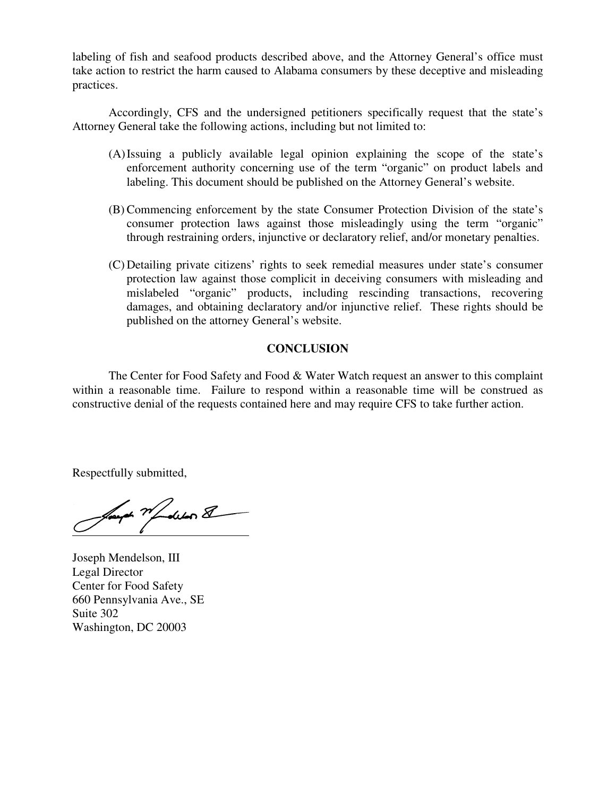labeling of fish and seafood products described above, and the Attorney General's office must take action to restrict the harm caused to Alabama consumers by these deceptive and misleading practices.

Accordingly, CFS and the undersigned petitioners specifically request that the state's Attorney General take the following actions, including but not limited to:

- (A)Issuing a publicly available legal opinion explaining the scope of the state's enforcement authority concerning use of the term "organic" on product labels and labeling. This document should be published on the Attorney General's website.
- (B) Commencing enforcement by the state Consumer Protection Division of the state's consumer protection laws against those misleadingly using the term "organic" through restraining orders, injunctive or declaratory relief, and/or monetary penalties.
- (C) Detailing private citizens' rights to seek remedial measures under state's consumer protection law against those complicit in deceiving consumers with misleading and mislabeled "organic" products, including rescinding transactions, recovering damages, and obtaining declaratory and/or injunctive relief. These rights should be published on the attorney General's website.

### **CONCLUSION**

The Center for Food Safety and Food & Water Watch request an answer to this complaint within a reasonable time. Failure to respond within a reasonable time will be construed as constructive denial of the requests contained here and may require CFS to take further action.

Respectfully submitted,

Samph World School &

Joseph Mendelson, III Legal Director Center for Food Safety 660 Pennsylvania Ave., SE Suite 302 Washington, DC 20003